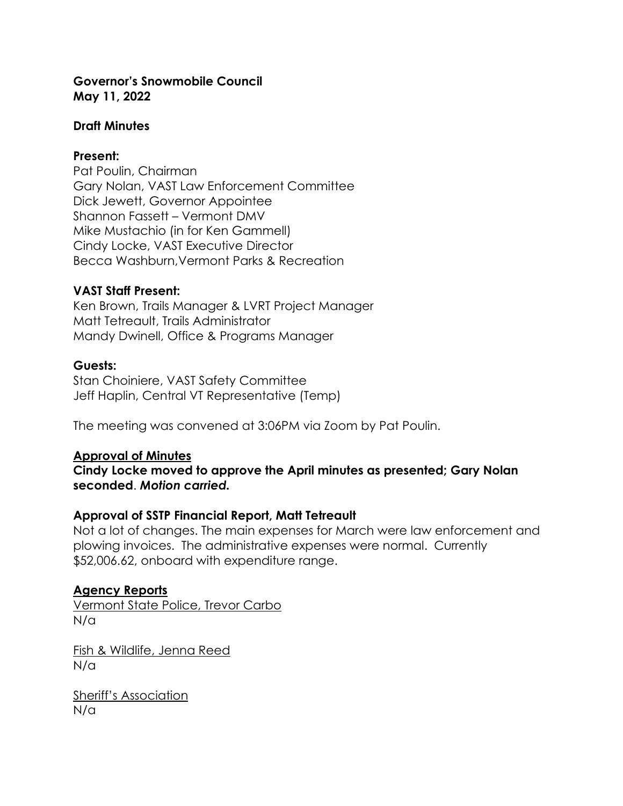### **Governor's Snowmobile Council May 11, 2022**

### **Draft Minutes**

### **Present:**

Pat Poulin, Chairman Gary Nolan, VAST Law Enforcement Committee Dick Jewett, Governor Appointee Shannon Fassett – Vermont DMV Mike Mustachio (in for Ken Gammell) Cindy Locke, VAST Executive Director Becca Washburn,Vermont Parks & Recreation

#### **VAST Staff Present:**

Ken Brown, Trails Manager & LVRT Project Manager Matt Tetreault, Trails Administrator Mandy Dwinell, Office & Programs Manager

#### **Guests:**

Stan Choiniere, VAST Safety Committee Jeff Haplin, Central VT Representative (Temp)

The meeting was convened at 3:06PM via Zoom by Pat Poulin.

#### **Approval of Minutes**

**Cindy Locke moved to approve the April minutes as presented; Gary Nolan seconded**. *Motion carried.*

### **Approval of SSTP Financial Report, Matt Tetreault**

Not a lot of changes. The main expenses for March were law enforcement and plowing invoices. The administrative expenses were normal. Currently \$52,006.62, onboard with expenditure range.

### **Agency Reports**

Vermont State Police, Trevor Carbo N/a

Fish & Wildlife, Jenna Reed N/a

Sheriff's Association N/a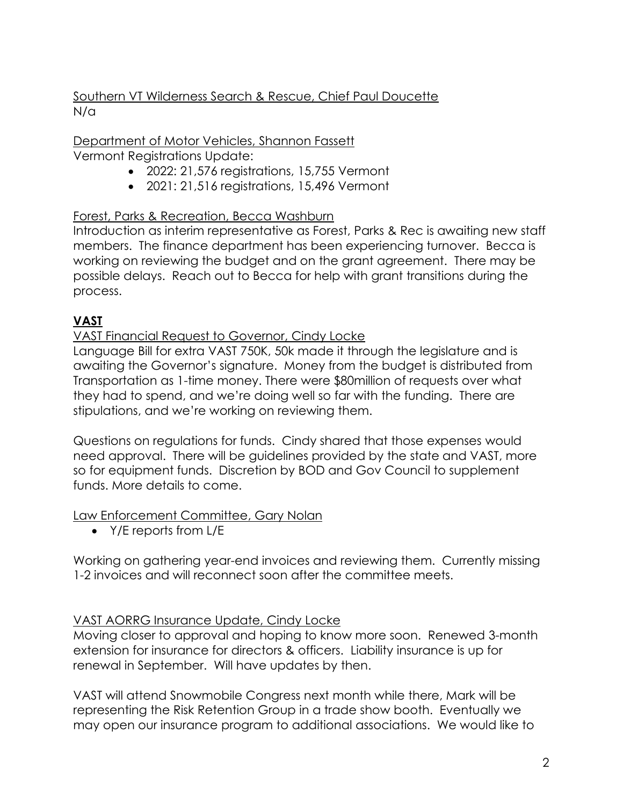## Southern VT Wilderness Search & Rescue, Chief Paul Doucette N/a

Department of Motor Vehicles, Shannon Fassett Vermont Registrations Update:

- 2022: 21,576 registrations, 15,755 Vermont
- 2021: 21,516 registrations, 15,496 Vermont

# Forest, Parks & Recreation, Becca Washburn

Introduction as interim representative as Forest, Parks & Rec is awaiting new staff members. The finance department has been experiencing turnover. Becca is working on reviewing the budget and on the grant agreement. There may be possible delays. Reach out to Becca for help with grant transitions during the process.

# **VAST**

### VAST Financial Request to Governor, Cindy Locke

Language Bill for extra VAST 750K, 50k made it through the legislature and is awaiting the Governor's signature. Money from the budget is distributed from Transportation as 1-time money. There were \$80million of requests over what they had to spend, and we're doing well so far with the funding. There are stipulations, and we're working on reviewing them.

Questions on regulations for funds. Cindy shared that those expenses would need approval. There will be guidelines provided by the state and VAST, more so for equipment funds. Discretion by BOD and Gov Council to supplement funds. More details to come.

Law Enforcement Committee, Gary Nolan

• Y/E reports from L/E

Working on gathering year-end invoices and reviewing them. Currently missing 1-2 invoices and will reconnect soon after the committee meets.

## VAST AORRG Insurance Update, Cindy Locke

Moving closer to approval and hoping to know more soon. Renewed 3-month extension for insurance for directors & officers. Liability insurance is up for renewal in September. Will have updates by then.

VAST will attend Snowmobile Congress next month while there, Mark will be representing the Risk Retention Group in a trade show booth. Eventually we may open our insurance program to additional associations. We would like to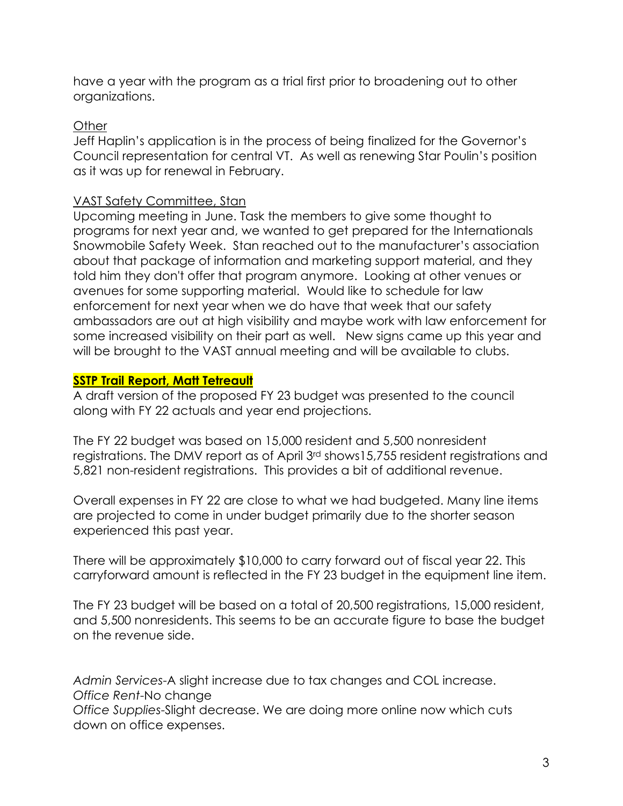have a year with the program as a trial first prior to broadening out to other organizations.

### Other

Jeff Haplin's application is in the process of being finalized for the Governor's Council representation for central VT. As well as renewing Star Poulin's position as it was up for renewal in February.

### VAST Safety Committee, Stan

Upcoming meeting in June. Task the members to give some thought to programs for next year and, we wanted to get prepared for the Internationals Snowmobile Safety Week. Stan reached out to the manufacturer's association about that package of information and marketing support material, and they told him they don't offer that program anymore. Looking at other venues or avenues for some supporting material. Would like to schedule for law enforcement for next year when we do have that week that our safety ambassadors are out at high visibility and maybe work with law enforcement for some increased visibility on their part as well. New signs came up this year and will be brought to the VAST annual meeting and will be available to clubs.

## **SSTP Trail Report, Matt Tetreault**

A draft version of the proposed FY 23 budget was presented to the council along with FY 22 actuals and year end projections.

The FY 22 budget was based on 15,000 resident and 5,500 nonresident registrations. The DMV report as of April 3rd shows15,755 resident registrations and 5,821 non-resident registrations. This provides a bit of additional revenue.

Overall expenses in FY 22 are close to what we had budgeted. Many line items are projected to come in under budget primarily due to the shorter season experienced this past year.

There will be approximately \$10,000 to carry forward out of fiscal year 22. This carryforward amount is reflected in the FY 23 budget in the equipment line item.

The FY 23 budget will be based on a total of 20,500 registrations, 15,000 resident, and 5,500 nonresidents. This seems to be an accurate figure to base the budget on the revenue side.

*Admin Services*-A slight increase due to tax changes and COL increase. *Office Rent*-No change

*Office Supplies*-Slight decrease. We are doing more online now which cuts down on office expenses.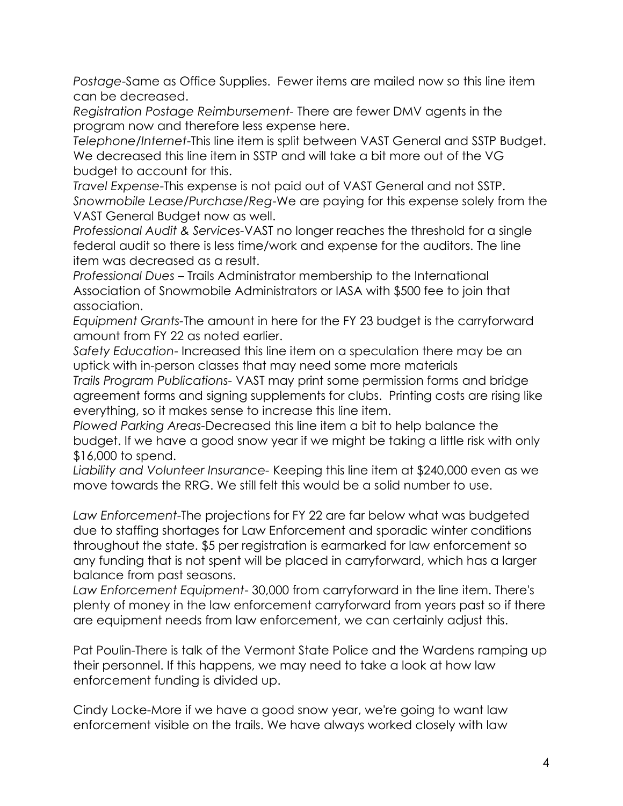*Postage*-Same as Office Supplies. Fewer items are mailed now so this line item can be decreased.

*Registration Postage Reimbursement-* There are fewer DMV agents in the program now and therefore less expense here.

*Telephone/Internet*-This line item is split between VAST General and SSTP Budget. We decreased this line item in SSTP and will take a bit more out of the VG budget to account for this.

*Travel Expense*-This expense is not paid out of VAST General and not SSTP. *Snowmobile Lease/Purchase/Reg*-We are paying for this expense solely from the VAST General Budget now as well.

*Professional Audit & Services-*VAST no longer reaches the threshold for a single federal audit so there is less time/work and expense for the auditors. The line item was decreased as a result.

*Professional Dues* – Trails Administrator membership to the International Association of Snowmobile Administrators or IASA with \$500 fee to join that association.

*Equipment Grants-*The amount in here for the FY 23 budget is the carryforward amount from FY 22 as noted earlier.

*Safety Education*- Increased this line item on a speculation there may be an uptick with in-person classes that may need some more materials

*Trails Program Publications-* VAST may print some permission forms and bridge agreement forms and signing supplements for clubs. Printing costs are rising like everything, so it makes sense to increase this line item.

*Plowed Parking Areas-*Decreased this line item a bit to help balance the budget. If we have a good snow year if we might be taking a little risk with only \$16,000 to spend.

*Liability and Volunteer Insurance-* Keeping this line item at \$240,000 even as we move towards the RRG. We still felt this would be a solid number to use.

*Law Enforcement*-The projections for FY 22 are far below what was budgeted due to staffing shortages for Law Enforcement and sporadic winter conditions throughout the state. \$5 per registration is earmarked for law enforcement so any funding that is not spent will be placed in carryforward, which has a larger balance from past seasons.

*Law Enforcement Equipment*- 30,000 from carryforward in the line item. There's plenty of money in the law enforcement carryforward from years past so if there are equipment needs from law enforcement, we can certainly adjust this.

Pat Poulin-There is talk of the Vermont State Police and the Wardens ramping up their personnel. If this happens, we may need to take a look at how law enforcement funding is divided up.

Cindy Locke-More if we have a good snow year, we're going to want law enforcement visible on the trails. We have always worked closely with law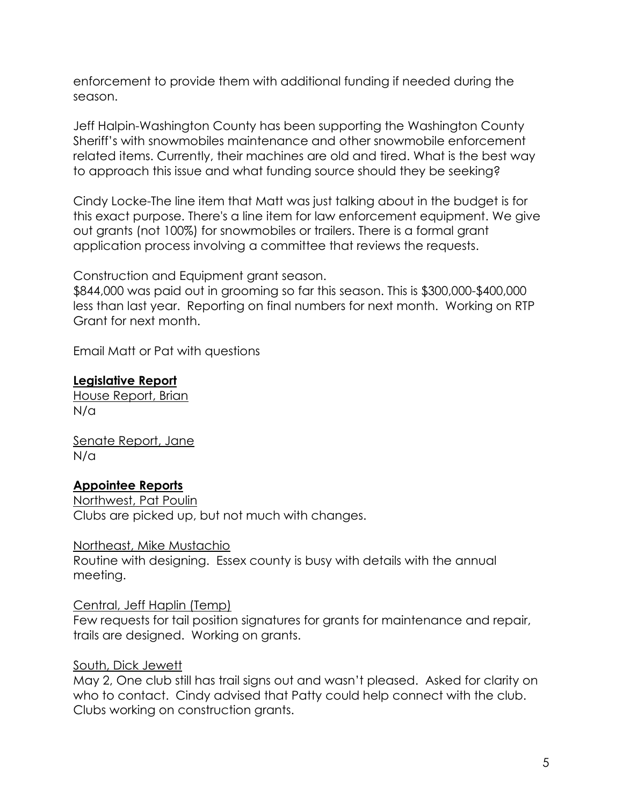enforcement to provide them with additional funding if needed during the season.

Jeff Halpin-Washington County has been supporting the Washington County Sheriff's with snowmobiles maintenance and other snowmobile enforcement related items. Currently, their machines are old and tired. What is the best way to approach this issue and what funding source should they be seeking?

Cindy Locke-The line item that Matt was just talking about in the budget is for this exact purpose. There's a line item for law enforcement equipment. We give out grants (not 100%) for snowmobiles or trailers. There is a formal grant application process involving a committee that reviews the requests.

Construction and Equipment grant season.

\$844,000 was paid out in grooming so far this season. This is \$300,000-\$400,000 less than last year. Reporting on final numbers for next month. Working on RTP Grant for next month.

Email Matt or Pat with questions

### **Legislative Report**

House Report, Brian N/a

Senate Report, Jane N/a

### **Appointee Reports**

Northwest, Pat Poulin Clubs are picked up, but not much with changes.

Northeast, Mike Mustachio

Routine with designing. Essex county is busy with details with the annual meeting.

#### Central, Jeff Haplin (Temp)

Few requests for tail position signatures for grants for maintenance and repair, trails are designed. Working on grants.

### South, Dick Jewett

May 2, One club still has trail signs out and wasn't pleased. Asked for clarity on who to contact. Cindy advised that Patty could help connect with the club. Clubs working on construction grants.